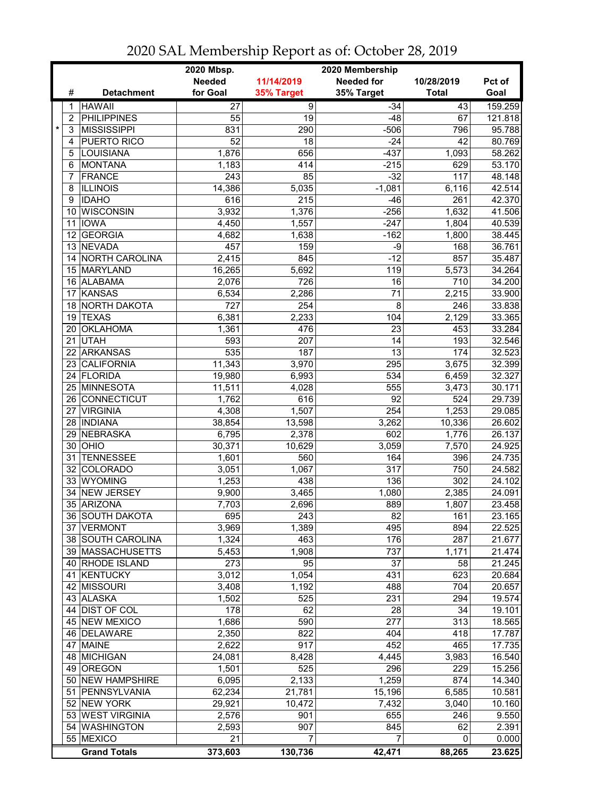|                 |                     | 2020 Mbsp.<br>2020 Membership |                  |                   |              |         |  |
|-----------------|---------------------|-------------------------------|------------------|-------------------|--------------|---------|--|
|                 |                     | <b>Needed</b>                 | 11/14/2019       | <b>Needed for</b> | 10/28/2019   | Pct of  |  |
| #               | <b>Detachment</b>   | for Goal                      | 35% Target       | 35% Target        | <b>Total</b> | Goal    |  |
| 1               | <b>HAWAII</b>       | $\overline{27}$               | $\overline{9}$   | $-34$             | 43           | 159.259 |  |
| 2               | <b>PHILIPPINES</b>  | 55                            | 19               | $-48$             | 67           | 121.818 |  |
| $\star$<br>3    | <b>MISSISSIPPI</b>  | 831                           | 290              | $-506$            | 796          | 95.788  |  |
| 4               | PUERTO RICO         | 52                            | 18               | $-24$             | 42           | 80.769  |  |
| 5               | LOUISIANA           | 1,876                         | 656              | $-437$            | 1,093        | 58.262  |  |
| 6               | <b>MONTANA</b>      | 1,183                         | 414              | $-215$            | 629          | 53.170  |  |
| 7               | <b>FRANCE</b>       | 243                           | 85               | $-32$             | 117          | 48.148  |  |
| 8               | <b>ILLINOIS</b>     | 14,386                        | 5,035            | $-1,081$          | 6,116        | 42.514  |  |
| 9               | <b>IDAHO</b>        | 616                           | 215              | $-46$             | 261          | 42.370  |  |
|                 | 10 WISCONSIN        | 3,932                         | 1,376            | $-256$            | 1,632        | 41.506  |  |
| 11              | IOWA                | 4,450                         | 1,557            | $-247$            | 1,804        | 40.539  |  |
|                 | 12 GEORGIA          | 4,682                         | 1,638            | $-162$            | 1,800        | 38.445  |  |
|                 | 13 NEVADA           | 457                           | 159              | $-9$              | 168          | 36.761  |  |
|                 | 14 NORTH CAROLINA   | 2,415                         | 845              | $-12$             | 857          | 35.487  |  |
|                 | 15 MARYLAND         | 16,265                        | 5,692            | 119               | 5,573        | 34.264  |  |
|                 | 16 ALABAMA          | 2,076                         | 726              | 16                | 710          | 34.200  |  |
| 17              | <b>KANSAS</b>       | 6,534                         | 2,286            | 71                | 2,215        | 33.900  |  |
|                 | 18 NORTH DAKOTA     | 727                           | 254              | 8                 | 246          | 33.838  |  |
|                 | 19 TEXAS            | 6,381                         | 2,233            | 104               | 2,129        | 33.365  |  |
| 20              | <b>OKLAHOMA</b>     | 1,361                         | 476              | 23                | 453          | 33.284  |  |
| 21              | <b>UTAH</b>         | 593                           | 207              | 14                | 193          | 32.546  |  |
| 22              | <b>ARKANSAS</b>     | 535                           | 187              | $\overline{13}$   | 174          | 32.523  |  |
| 23              | <b>CALIFORNIA</b>   | 11,343                        | 3,970            | 295               | 3,675        | 32.399  |  |
|                 | 24 FLORIDA          | 19,980                        | 6,993            | 534               | 6,459        | 32.327  |  |
|                 | 25 MINNESOTA        | 11,511                        | 4,028            | 555               | 3,473        | 30.171  |  |
|                 | 26 CONNECTICUT      | 1,762                         | 616              | $\overline{92}$   | 524          | 29.739  |  |
| 27 <sup>1</sup> | <b>VIRGINIA</b>     | 4,308                         | 1,507            | 254               | 1,253        | 29.085  |  |
|                 | 28   INDIANA        | 38,854                        | 13,598           | 3,262             | 10,336       | 26.602  |  |
|                 | 29 NEBRASKA         | 6,795                         | 2,378            | 602               | 1,776        | 26.137  |  |
|                 | 30 OHIO             | 30,371                        | 10,629           | 3,059             | 7,570        | 24.925  |  |
| 31              | <b>TENNESSEE</b>    | 1,601                         | 560              | 164               | 396          | 24.735  |  |
| 32              | COLORADO            | 3,051                         | 1,067            | 317               | 750          | 24.582  |  |
| 33              | <b>WYOMING</b>      | 1,253                         | 438              | 136               | 302          | 24.102  |  |
| 34              | <b>NEW JERSEY</b>   | 9,900                         | 3,465            | 1,080             | 2,385        | 24.091  |  |
|                 | 35 ARIZONA          | 7,703                         | 2,696            | 889               | 1,807        | 23.458  |  |
|                 | 36 SOUTH DAKOTA     | 695                           | 243              | 82                | 161          | 23.165  |  |
|                 | 37 VERMONT          | 3,969                         | 1,389            | 495               | 894          | 22.525  |  |
|                 | 38 SOUTH CAROLINA   | 1,324                         | 463              | 176               | 287          | 21.677  |  |
|                 | 39 MASSACHUSETTS    | 5,453                         | 1,908            | 737               | 1,171        | 21.474  |  |
|                 | 40 RHODE ISLAND     | 273                           | 95               | 37                | 58           | 21.245  |  |
|                 | 41 KENTUCKY         | 3,012                         | 1,054            | 431               | 623          | 20.684  |  |
|                 | 42 MISSOURI         | 3,408                         | 1,192            | 488               | 704          | 20.657  |  |
|                 | 43 ALASKA           | 1,502                         | 525              | 231               | 294          | 19.574  |  |
|                 | 44 DIST OF COL      | 178                           | 62               | 28                | 34           | 19.101  |  |
|                 | 45 NEW MEXICO       | 1,686                         | 590              | $\overline{277}$  | 313          | 18.565  |  |
|                 | 46 DELAWARE         | 2,350                         | 822              | 404               | 418          | 17.787  |  |
|                 | 47 MAINE            | 2,622                         | $\overline{917}$ | 452               | 465          | 17.735  |  |
|                 | 48 MICHIGAN         | 24,081                        | 8,428            | 4,445             | 3,983        | 16.540  |  |
|                 | 49 OREGON           | 1,501                         | 525              | 296               | 229          | 15.256  |  |
|                 | 50 NEW HAMPSHIRE    | 6,095                         | 2,133            | 1,259             | 874          | 14.340  |  |
|                 | 51 PENNSYLVANIA     | 62,234                        | 21,781           | 15,196            | 6,585        | 10.581  |  |
|                 | 52 NEW YORK         | 29,921                        | 10,472           | 7,432             | 3,040        | 10.160  |  |
|                 | 53 WEST VIRGINIA    | 2,576                         | 901              | 655               | 246          | 9.550   |  |
|                 | 54 WASHINGTON       | 2,593                         | 907              | 845               | 62           | 2.391   |  |
|                 | 55 MEXICO           | 21                            | 7                | 7                 | 0            | 0.000   |  |
|                 | <b>Grand Totals</b> | 373,603                       | 130,736          | 42,471            | 88,265       | 23.625  |  |

## 2020 SAL Membership Report as of: October 28, 2019